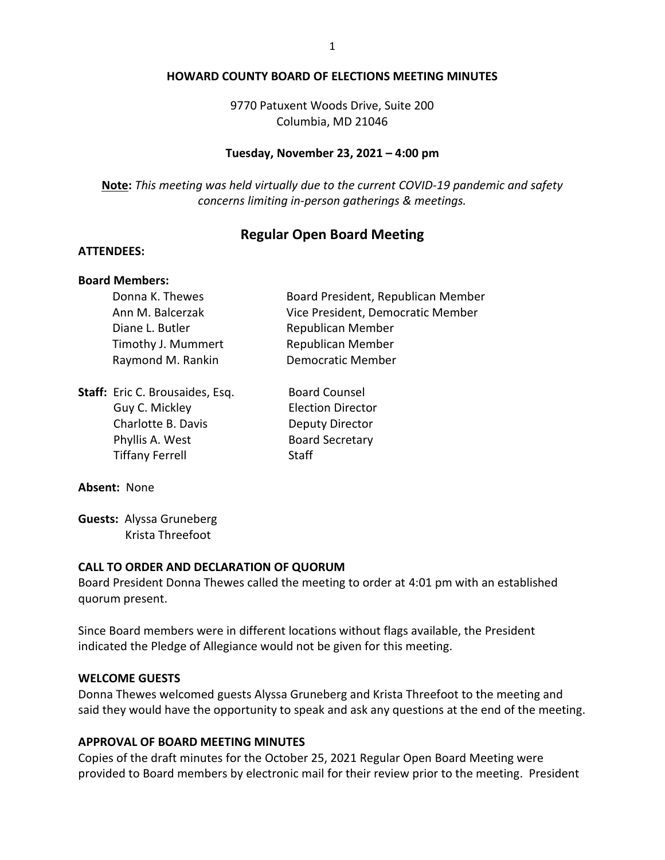#### **HOWARD COUNTY BOARD OF ELECTIONS MEETING MINUTES**

9770 Patuxent Woods Drive, Suite 200 Columbia, MD 21046

### **Tuesday, November 23, 2021 – 4:00 pm**

**Note:** *This meeting was held virtually due to the current COVID-19 pandemic and safety concerns limiting in-person gatherings & meetings.*

# **Regular Open Board Meeting**

### **ATTENDEES:**

## **Board Members:**

| Donna K. Thewes    | Board President, Republican Member |  |  |
|--------------------|------------------------------------|--|--|
| Ann M. Balcerzak   | Vice President, Democratic Member  |  |  |
| Diane L. Butler    | Republican Member                  |  |  |
| Timothy J. Mummert | <b>Republican Member</b>           |  |  |
| Raymond M. Rankin  | <b>Democratic Member</b>           |  |  |
|                    |                                    |  |  |

**Staff:** Eric C. Brousaides, Esq. Board Counsel Guy C. Mickley **Election Director** Charlotte B. Davis **Deputy Director** Phyllis A. West Board Secretary Tiffany Ferrell Staff

#### **Absent:** None

**Guests:** Alyssa Gruneberg Krista Threefoot

### **CALL TO ORDER AND DECLARATION OF QUORUM**

Board President Donna Thewes called the meeting to order at 4:01 pm with an established quorum present.

Since Board members were in different locations without flags available, the President indicated the Pledge of Allegiance would not be given for this meeting.

#### **WELCOME GUESTS**

Donna Thewes welcomed guests Alyssa Gruneberg and Krista Threefoot to the meeting and said they would have the opportunity to speak and ask any questions at the end of the meeting.

## **APPROVAL OF BOARD MEETING MINUTES**

Copies of the draft minutes for the October 25, 2021 Regular Open Board Meeting were provided to Board members by electronic mail for their review prior to the meeting. President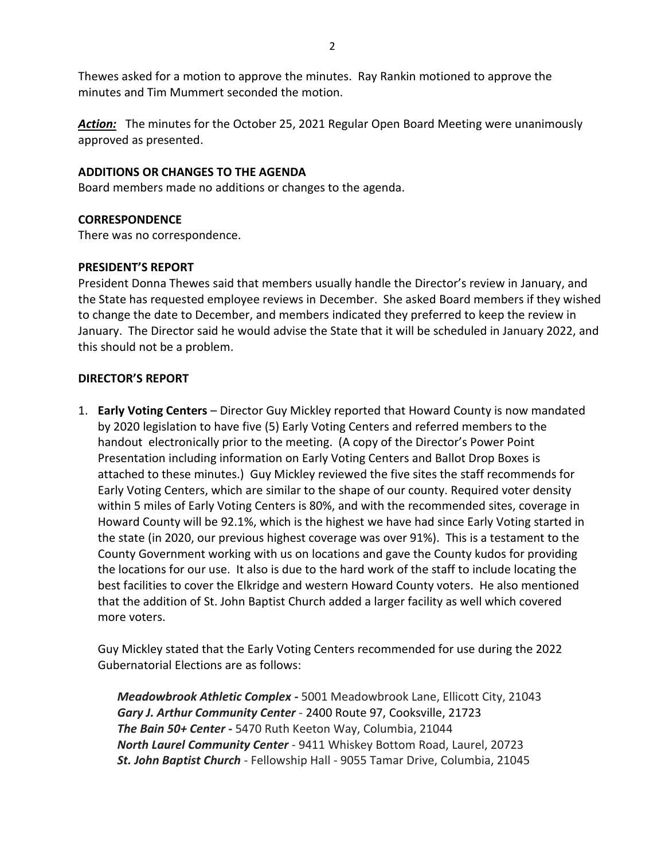Thewes asked for a motion to approve the minutes. Ray Rankin motioned to approve the minutes and Tim Mummert seconded the motion.

Action: The minutes for the October 25, 2021 Regular Open Board Meeting were unanimously approved as presented.

## **ADDITIONS OR CHANGES TO THE AGENDA**

Board members made no additions or changes to the agenda.

## **CORRESPONDENCE**

There was no correspondence.

## **PRESIDENT'S REPORT**

President Donna Thewes said that members usually handle the Director's review in January, and the State has requested employee reviews in December. She asked Board members if they wished to change the date to December, and members indicated they preferred to keep the review in January. The Director said he would advise the State that it will be scheduled in January 2022, and this should not be a problem.

## **DIRECTOR'S REPORT**

1. **Early Voting Centers** – Director Guy Mickley reported that Howard County is now mandated by 2020 legislation to have five (5) Early Voting Centers and referred members to the handout electronically prior to the meeting. (A copy of the Director's Power Point Presentation including information on Early Voting Centers and Ballot Drop Boxes is attached to these minutes.) Guy Mickley reviewed the five sites the staff recommends for Early Voting Centers, which are similar to the shape of our county. Required voter density within 5 miles of Early Voting Centers is 80%, and with the recommended sites, coverage in Howard County will be 92.1%, which is the highest we have had since Early Voting started in the state (in 2020, our previous highest coverage was over 91%). This is a testament to the County Government working with us on locations and gave the County kudos for providing the locations for our use. It also is due to the hard work of the staff to include locating the best facilities to cover the Elkridge and western Howard County voters. He also mentioned that the addition of St. John Baptist Church added a larger facility as well which covered more voters.

Guy Mickley stated that the Early Voting Centers recommended for use during the 2022 Gubernatorial Elections are as follows:

*Meadowbrook Athletic Complex -* 5001 Meadowbrook Lane, Ellicott City, 21043 *Gary J. Arthur Community Center* - 2400 Route 97, Cooksville, 21723 *The Bain 50+ Center -* 5470 Ruth Keeton Way, Columbia, 21044 *North Laurel Community Center* - 9411 Whiskey Bottom Road, Laurel, 20723 *St. John Baptist Church* - Fellowship Hall - 9055 Tamar Drive, Columbia, 21045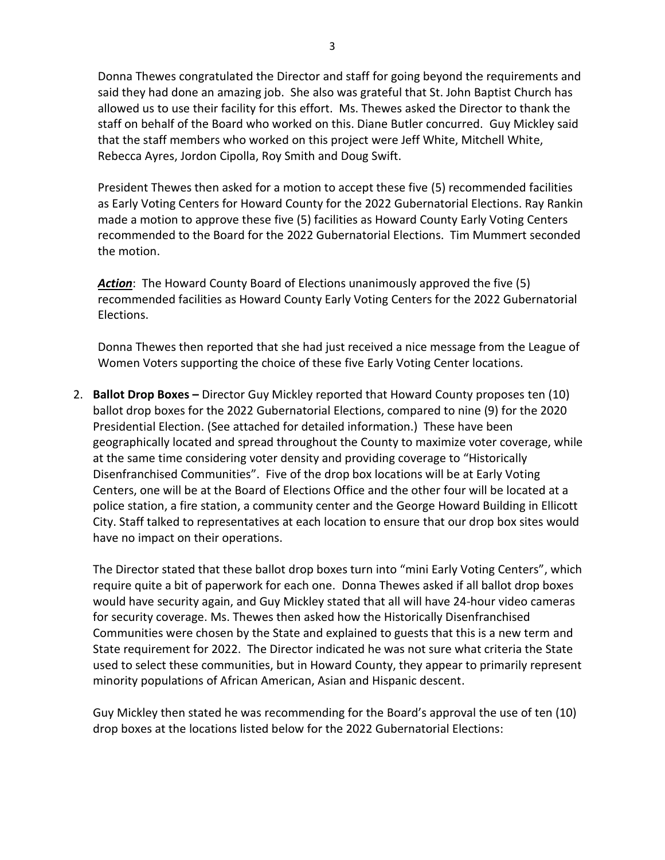Donna Thewes congratulated the Director and staff for going beyond the requirements and said they had done an amazing job. She also was grateful that St. John Baptist Church has allowed us to use their facility for this effort. Ms. Thewes asked the Director to thank the staff on behalf of the Board who worked on this. Diane Butler concurred. Guy Mickley said that the staff members who worked on this project were Jeff White, Mitchell White, Rebecca Ayres, Jordon Cipolla, Roy Smith and Doug Swift.

President Thewes then asked for a motion to accept these five (5) recommended facilities as Early Voting Centers for Howard County for the 2022 Gubernatorial Elections. Ray Rankin made a motion to approve these five (5) facilities as Howard County Early Voting Centers recommended to the Board for the 2022 Gubernatorial Elections. Tim Mummert seconded the motion.

*Action*: The Howard County Board of Elections unanimously approved the five (5) recommended facilities as Howard County Early Voting Centers for the 2022 Gubernatorial Elections.

Donna Thewes then reported that she had just received a nice message from the League of Women Voters supporting the choice of these five Early Voting Center locations.

2. **Ballot Drop Boxes –** Director Guy Mickley reported that Howard County proposes ten (10) ballot drop boxes for the 2022 Gubernatorial Elections, compared to nine (9) for the 2020 Presidential Election. (See attached for detailed information.) These have been geographically located and spread throughout the County to maximize voter coverage, while at the same time considering voter density and providing coverage to "Historically Disenfranchised Communities". Five of the drop box locations will be at Early Voting Centers, one will be at the Board of Elections Office and the other four will be located at a police station, a fire station, a community center and the George Howard Building in Ellicott City. Staff talked to representatives at each location to ensure that our drop box sites would have no impact on their operations.

The Director stated that these ballot drop boxes turn into "mini Early Voting Centers", which require quite a bit of paperwork for each one. Donna Thewes asked if all ballot drop boxes would have security again, and Guy Mickley stated that all will have 24-hour video cameras for security coverage. Ms. Thewes then asked how the Historically Disenfranchised Communities were chosen by the State and explained to guests that this is a new term and State requirement for 2022. The Director indicated he was not sure what criteria the State used to select these communities, but in Howard County, they appear to primarily represent minority populations of African American, Asian and Hispanic descent.

Guy Mickley then stated he was recommending for the Board's approval the use of ten (10) drop boxes at the locations listed below for the 2022 Gubernatorial Elections: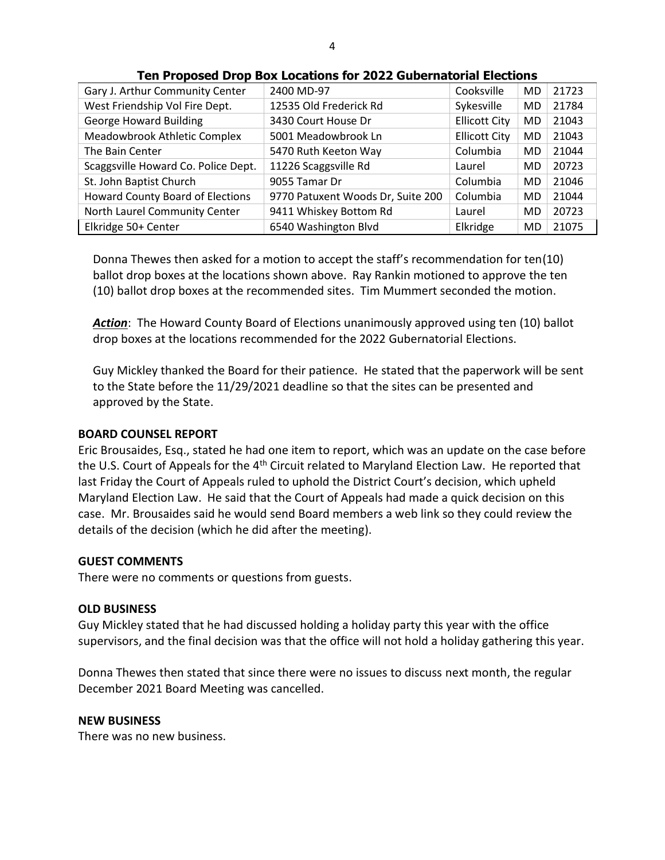| Gary J. Arthur Community Center         | 2400 MD-97                        | Cooksville           | <b>MD</b> | 21723 |
|-----------------------------------------|-----------------------------------|----------------------|-----------|-------|
| West Friendship Vol Fire Dept.          | 12535 Old Frederick Rd            | Sykesville           | MD        | 21784 |
| <b>George Howard Building</b>           | 3430 Court House Dr               | <b>Ellicott City</b> | MD        | 21043 |
| Meadowbrook Athletic Complex            | 5001 Meadowbrook Ln               | <b>Ellicott City</b> | MD        | 21043 |
| The Bain Center                         | 5470 Ruth Keeton Way              | Columbia             | <b>MD</b> | 21044 |
| Scaggsville Howard Co. Police Dept.     | 11226 Scaggsville Rd              | Laurel               | MD        | 20723 |
| St. John Baptist Church                 | 9055 Tamar Dr                     | Columbia             | MD        | 21046 |
| <b>Howard County Board of Elections</b> | 9770 Patuxent Woods Dr, Suite 200 | Columbia             | MD        | 21044 |
| North Laurel Community Center           | 9411 Whiskey Bottom Rd            | Laurel               | MD        | 20723 |
| Elkridge 50+ Center                     | 6540 Washington Blvd              | Elkridge             | <b>MD</b> | 21075 |

#### **Ten Proposed Drop Box Locations for 2022 Gubernatorial Elections**

Donna Thewes then asked for a motion to accept the staff's recommendation for ten(10) ballot drop boxes at the locations shown above. Ray Rankin motioned to approve the ten (10) ballot drop boxes at the recommended sites. Tim Mummert seconded the motion.

*Action*: The Howard County Board of Elections unanimously approved using ten (10) ballot drop boxes at the locations recommended for the 2022 Gubernatorial Elections.

Guy Mickley thanked the Board for their patience. He stated that the paperwork will be sent to the State before the 11/29/2021 deadline so that the sites can be presented and approved by the State.

### **BOARD COUNSEL REPORT**

Eric Brousaides, Esq., stated he had one item to report, which was an update on the case before the U.S. Court of Appeals for the 4<sup>th</sup> Circuit related to Maryland Election Law. He reported that last Friday the Court of Appeals ruled to uphold the District Court's decision, which upheld Maryland Election Law. He said that the Court of Appeals had made a quick decision on this case. Mr. Brousaides said he would send Board members a web link so they could review the details of the decision (which he did after the meeting).

#### **GUEST COMMENTS**

There were no comments or questions from guests.

#### **OLD BUSINESS**

Guy Mickley stated that he had discussed holding a holiday party this year with the office supervisors, and the final decision was that the office will not hold a holiday gathering this year.

Donna Thewes then stated that since there were no issues to discuss next month, the regular December 2021 Board Meeting was cancelled.

#### **NEW BUSINESS**

There was no new business.